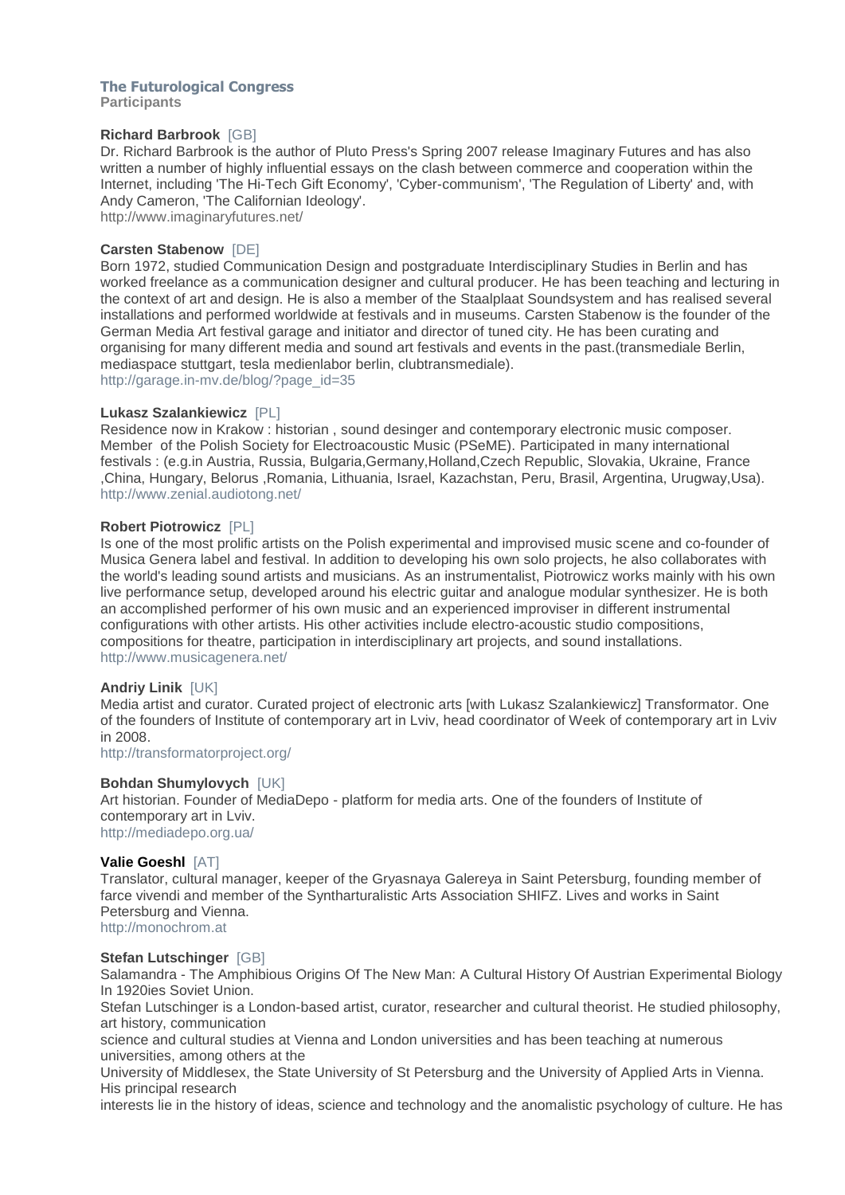# **The Futurological Congress**

**Participants**

# **Richard Barbrook** [GB]

Dr. Richard Barbrook is the author of Pluto Press's Spring 2007 release Imaginary Futures and has also written a number of highly influential essays on the clash between commerce and cooperation within the Internet, including 'The Hi-Tech Gift Economy', 'Cyber-communism', 'The Regulation of Liberty' and, with Andy Cameron, 'The Californian Ideology'. http://www.imaginaryfutures.net/

# **Carsten Stabenow** [DE]

Born 1972, studied Communication Design and postgraduate Interdisciplinary Studies in Berlin and has worked freelance as a communication designer and cultural producer. He has been teaching and lecturing in the context of art and design. He is also a member of the Staalplaat Soundsystem and has realised several installations and performed worldwide at festivals and in museums. Carsten Stabenow is the founder of the German Media Art festival garage and initiator and director of tuned city. He has been curating and organising for many different media and sound art festivals and events in the past.(transmediale Berlin, mediaspace stuttgart, tesla medienlabor berlin, clubtransmediale).

http://garage.in-mv.de/blog/?page\_id=35

# **Lukasz Szalankiewicz** [PL]

Residence now in Krakow : historian , sound desinger and contemporary electronic music composer. Member of the Polish Society for Electroacoustic Music (PSeME). Participated in many international festivals : (e.g.in Austria, Russia, Bulgaria,Germany,Holland,Czech Republic, Slovakia, Ukraine, France ,China, Hungary, Belorus ,Romania, Lithuania, Israel, Kazachstan, Peru, Brasil, Argentina, Urugway,Usa). http://www.zenial.audiotong.net/

# **Robert Piotrowicz** [PL]

Is one of the most prolific artists on the Polish experimental and improvised music scene and co-founder of Musica Genera label and festival. In addition to developing his own solo projects, he also collaborates with the world's leading sound artists and musicians. As an instrumentalist, Piotrowicz works mainly with his own live performance setup, developed around his electric guitar and analogue modular synthesizer. He is both an accomplished performer of his own music and an experienced improviser in different instrumental configurations with other artists. His other activities include electro-acoustic studio compositions, compositions for theatre, participation in interdisciplinary art projects, and sound installations. http://www.musicagenera.net/

#### **Andriy Linik** [UK]

Media artist and curator. Curated project of electronic arts [with Lukasz Szalankiewicz] Transformator. One of the founders of Institute of contemporary art in Lviv, head coordinator of Week of contemporary art in Lviv in 2008.

http://transformatorproject.org/

# **Bohdan Shumylovych** [UK]

Art historian. Founder of MediaDepo - platform for media arts. One of the founders of Institute of contemporary art in Lviv. http://mediadepo.org.ua/

#### **Valie Goeshl** [AT]

Translator, cultural manager, keeper of the Gryasnaya Galereya in Saint Petersburg, founding member of farce vivendi and member of the Syntharturalistic Arts Association SHIFZ. Lives and works in Saint Petersburg and Vienna. http://monochrom.at

#### **Stefan Lutschinger** [GB]

Salamandra - The Amphibious Origins Of The New Man: A Cultural History Of Austrian Experimental Biology In 1920ies Soviet Union.

Stefan Lutschinger is a London-based artist, curator, researcher and cultural theorist. He studied philosophy, art history, communication

science and cultural studies at Vienna and London universities and has been teaching at numerous universities, among others at the

University of Middlesex, the State University of St Petersburg and the University of Applied Arts in Vienna. His principal research

interests lie in the history of ideas, science and technology and the anomalistic psychology of culture. He has